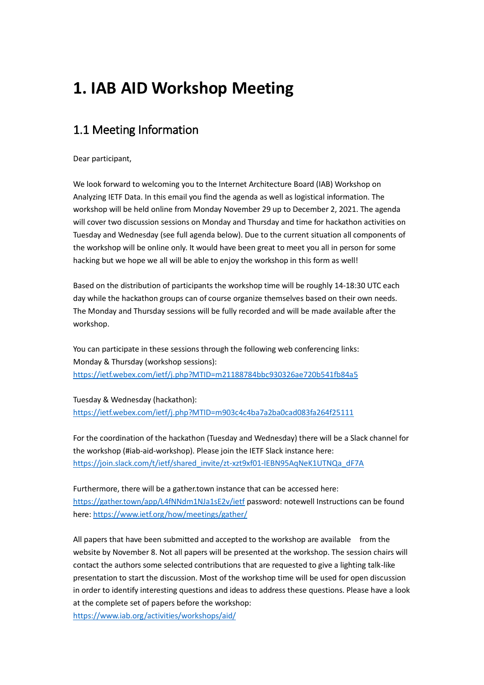# **1. IAB AID Workshop Meeting**

## 1.1 Meeting Information

Dear participant,

We look forward to welcoming you to the Internet Architecture Board (IAB) Workshop on Analyzing IETF Data. In this email you find the agenda as well as logistical information. The workshop will be held online from Monday November 29 up to December 2, 2021. The agenda will cover two discussion sessions on Monday and Thursday and time for hackathon activities on Tuesday and Wednesday (see full agenda below). Due to the current situation all components of the workshop will be online only. It would have been great to meet you all in person for some hacking but we hope we all will be able to enjoy the workshop in this form as well!

Based on the distribution of participants the workshop time will be roughly 14-18:30 UTC each day while the hackathon groups can of course organize themselves based on their own needs. The Monday and Thursday sessions will be fully recorded and will be made available after the workshop.

You can participate in these sessions through the following web conferencing links: Monday & Thursday (workshop sessions): <https://ietf.webex.com/ietf/j.php?MTID=m21188784bbc930326ae720b541fb84a5>

Tuesday & Wednesday (hackathon): <https://ietf.webex.com/ietf/j.php?MTID=m903c4c4ba7a2ba0cad083fa264f25111>

For the coordination of the hackathon (Tuesday and Wednesday) there will be a Slack channel for the workshop (#iab-aid-workshop). Please join the IETF Slack instance here: [https://join.slack.com/t/ietf/shared\\_invite/zt-xzt9xf01-IEBN95AqNeK1UTNQa\\_dF7A](https://join.slack.com/t/ietf/shared_invite/zt-xzt9xf01-IEBN95AqNeK1UTNQa_dF7A)

Furthermore, there will be a gather.town instance that can be accessed here: <https://gather.town/app/L4fNNdm1NJa1sE2v/ietf> password: notewell Instructions can be found here[: https://www.ietf.org/how/meetings/gather/](https://www.ietf.org/how/meetings/gather/)

All papers that have been submitted and accepted to the workshop are available from the website by November 8. Not all papers will be presented at the workshop. The session chairs will contact the authors some selected contributions that are requested to give a lighting talk-like presentation to start the discussion. Most of the workshop time will be used for open discussion in order to identify interesting questions and ideas to address these questions. Please have a look at the complete set of papers before the workshop:

<https://www.iab.org/activities/workshops/aid/>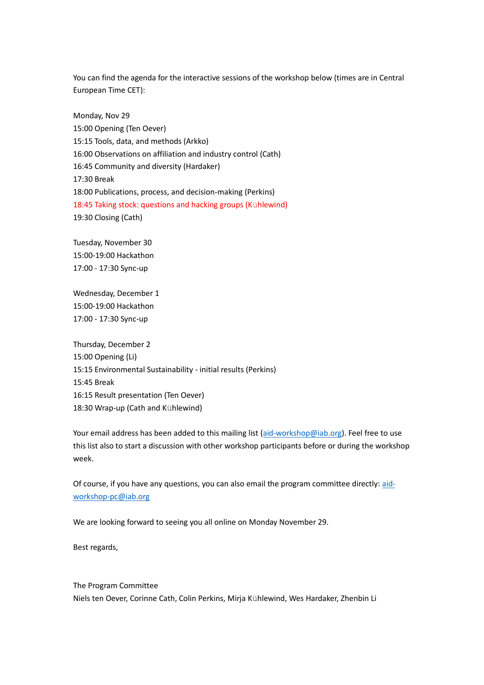You can find the agenda for the interactive sessions of the workshop below (times are in Central European Time CET):

Monday, Nov 29 15:00 Opening (Ten Oever) 15:15 Tools, data, and methods (Arkko) 16:00 Observations on affiliation and industry control (Cath) 16:45 Community and diversity (Hardaker) 17:30 Break 18:00 Publications, process, and decision-making (Perkins) 18:45 Taking stock: questions and hacking groups (Kühlewind) 19:30 Closing (Cath)

Tuesday, November 30 15:00-19:00 Hackathon 17:00 - 17:30 Sync-up

Wednesday, December 1 15:00-19:00 Hackathon 17:00 - 17:30 Sync-up

Thursday, December 2 15:00 Opening (Li) 15:15 Environmental Sustainability - initial results (Perkins) 15:45 Break 16:15 Result presentation (Ten Oever) 18:30 Wrap-up (Cath and Kühlewind)

Your email address has been added to this mailing list [\(aid-workshop@iab.org\)](mailto:aid-workshop@iab.org). Feel free to use this list also to start a discussion with other workshop participants before or during the workshop week.

Of course, if you have any questions, you can also email the program committee directly: [aid](mailto:aid-workshop-pc@iab.org)[workshop-pc@iab.org](mailto:aid-workshop-pc@iab.org)

We are looking forward to seeing you all online on Monday November 29.

Best regards,

The Program Committee Niels ten Oever, Corinne Cath, Colin Perkins, Mirja Kühlewind, Wes Hardaker, Zhenbin Li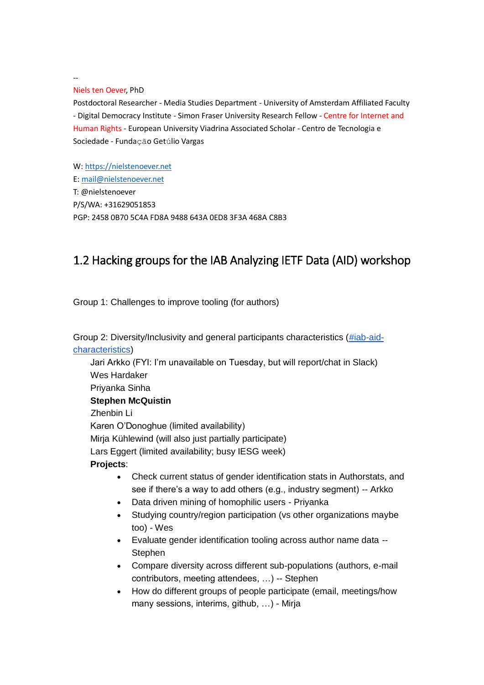--

#### Niels ten Oever, PhD

Postdoctoral Researcher - Media Studies Department - University of Amsterdam Affiliated Faculty - Digital Democracy Institute - Simon Fraser University Research Fellow - Centre for Internet and Human Rights - European University Viadrina Associated Scholar - Centro de Tecnologia e Sociedade - Fundação Getúlio Vargas

W[: https://nielstenoever.net](https://nielstenoever.net/) E: [mail@nielstenoever.net](mailto:mail@nielstenoever.net) T: @nielstenoever P/S/WA: +31629051853 PGP: 2458 0B70 5C4A FD8A 9488 643A 0ED8 3F3A 468A C8B3

### 1.2 Hacking groups for the IAB Analyzing IETF Data (AID) workshop

Group 1: Challenges to improve tooling (for authors)

Group 2: Diversity/Inclusivity and general participants characteristics [\(#iab-aid](https://ietf.slack.com/archives/C02NX4C47PV)[characteristics\)](https://ietf.slack.com/archives/C02NX4C47PV)

Jari Arkko (FYI: I'm unavailable on Tuesday, but will report/chat in Slack) Wes Hardaker Priyanka Sinha **Stephen McQuistin** Zhenbin Li Karen O'Donoghue (limited availability) Mirja Kühlewind (will also just partially participate) Lars Eggert (limited availability; busy IESG week) **Projects**:

- Check current status of gender identification stats in Authorstats, and see if there's a way to add others (e.g., industry segment) -- Arkko
- Data driven mining of homophilic users Priyanka
- Studying country/region participation (vs other organizations maybe too) - Wes
- Evaluate gender identification tooling across author name data -- **Stephen**
- Compare diversity across different sub-populations (authors, e-mail contributors, meeting attendees, …) -- Stephen
- How do different groups of people participate (email, meetings/how many sessions, interims, github, …) - Mirja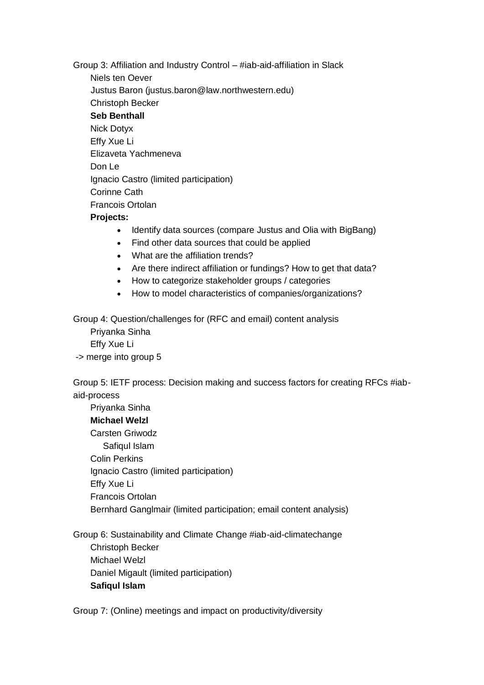Group 3: Affiliation and Industry Control – #iab-aid-affiliation in Slack Niels ten Oever Justus Baron (justus.baron@law.northwestern.edu) Christoph Becker **Seb Benthall** Nick Dotyx Effy Xue Li Elizaveta Yachmeneva Don Le Ignacio Castro (limited participation) Corinne Cath Francois Ortolan **Projects:**

- Identify data sources (compare Justus and Olia with BigBang)
- Find other data sources that could be applied
- What are the affiliation trends?
- Are there indirect affiliation or fundings? How to get that data?
- How to categorize stakeholder groups / categories
- How to model characteristics of companies/organizations?

Group 4: Question/challenges for (RFC and email) content analysis

Priyanka Sinha Effy Xue Li -> merge into group 5

Group 5: IETF process: Decision making and success factors for creating RFCs #iabaid-process

Priyanka Sinha **Michael Welzl** Carsten Griwodz Safiqul Islam Colin Perkins Ignacio Castro (limited participation) Effy Xue Li Francois Ortolan Bernhard Ganglmair (limited participation; email content analysis)

Group 6: Sustainability and Climate Change #iab-aid-climatechange Christoph Becker Michael Welzl Daniel Migault (limited participation) **Safiqul Islam**

Group 7: (Online) meetings and impact on productivity/diversity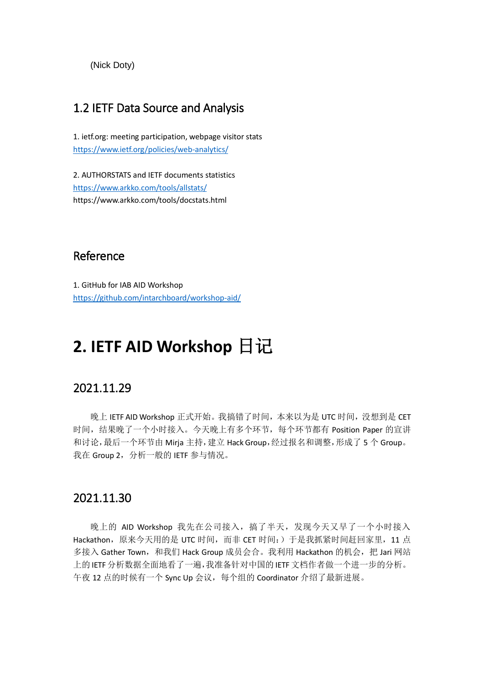(Nick Doty)

### 1.2 IETF Data Source and Analysis

1. ietf.org: meeting participation, webpage visitor stats <https://www.ietf.org/policies/web-analytics/>

2. AUTHORSTATS and IETF documents statistics <https://www.arkko.com/tools/allstats/> https://www.arkko.com/tools/docstats.html

### Reference

1. GitHub for IAB AID Workshop <https://github.com/intarchboard/workshop-aid/>

# **2. IETF AID Workshop** 日记

### 2021.11.29

晚上 IETF AID Workshop 正式开始。我搞错了时间,本来以为是 UTC 时间,没想到是 CET 时间,结果晚了一个小时接入。今天晚上有多个环节,每个环节都有 Position Paper 的宣讲 和讨论,最后一个环节由 Mirja 主持,建立 Hack Group,经过报名和调整,形成了 5 个 Group。 我在 Group 2, 分析一般的 IETF 参与情况。

### 2021.11.30

晚上的 AID Workshop 我先在公司接入,搞了半天,发现今天又早了一个小时接入 Hackathon, 原来今天用的是 UTC 时间, 而非 CET 时间:) 于是我抓紧时间赶回家里, 11 点 多接入 Gather Town, 和我们 Hack Group 成员会合。我利用 Hackathon 的机会, 把 Jari 网站 上的IETF分析数据全面地看了一遍,我准备针对中国的 IETF文档作者做一个进一步的分析。 午夜 12 点的时候有一个 Sync Up 会议,每个组的 Coordinator 介绍了最新进展。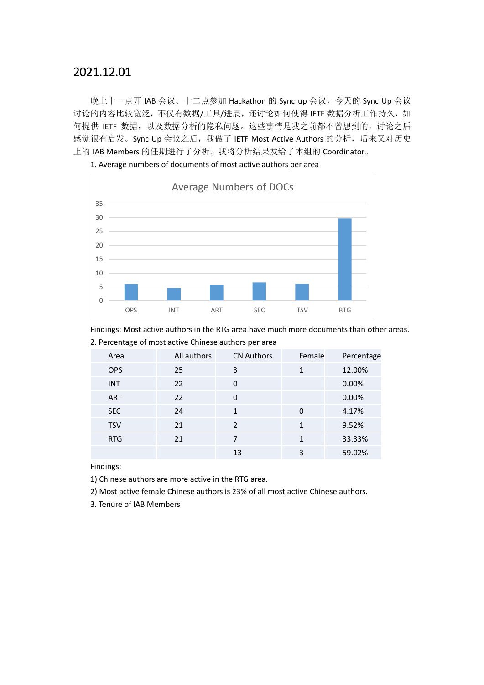### 2021.12.01

晚上十一点开 IAB 会议。十二点参加 Hackathon 的 Sync up 会议, 今天的 Sync Up 会议 讨论的内容比较宽泛,不仅有数据/工具/进展,还讨论如何使得 IETF 数据分析工作持久, 如 何提供 IETF 数据,以及数据分析的隐私问题。这些事情是我之前都不曾想到的,讨论之后 感觉很有启发。Sync Up 会议之后,我做了 IETF Most Active Authors 的分析, 后来又对历史 上的 IAB Members 的任期进行了分析。我将分析结果发给了本组的 Coordinator。



1. Average numbers of documents of most active authors per area

Findings: Most active authors in the RTG area have much more documents than other areas. 2. Percentage of most active Chinese authors per area

| Area       | All authors | <b>CN Authors</b> | Female   | Percentage |
|------------|-------------|-------------------|----------|------------|
| <b>OPS</b> | 25          | 3                 |          | 12.00%     |
| <b>INT</b> | 22          | $\Omega$          |          | 0.00%      |
| ART        | 22          | $\Omega$          |          | 0.00%      |
| <b>SEC</b> | 24          | 1                 | $\Omega$ | 4.17%      |
| <b>TSV</b> | 21          | $\mathcal{P}$     | 1        | 9.52%      |
| <b>RTG</b> | 21          | 7                 | 1        | 33.33%     |
|            |             | 13                | 3        | 59.02%     |
|            |             |                   |          |            |

Findings:

1) Chinese authors are more active in the RTG area.

2) Most active female Chinese authors is 23% of all most active Chinese authors.

3. Tenure of IAB Members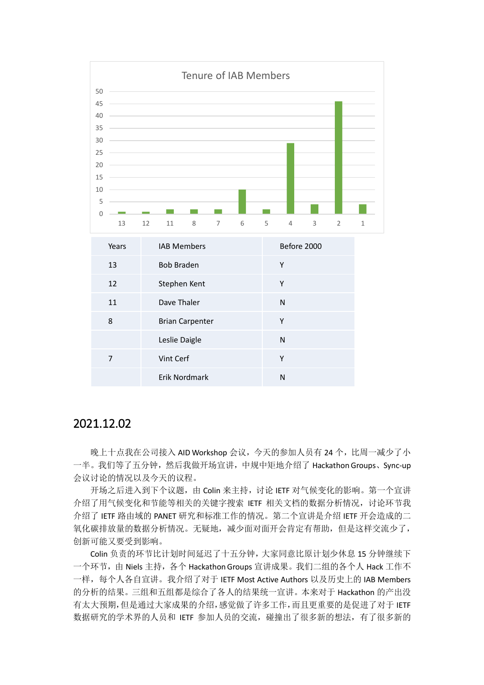

#### 2021.12.02

晚上十点我在公司接入 AID Workshop 会议, 今天的参加人员有 24 个, 比周一减少了小 一半。我们等了五分钟,然后我做开场宣讲,中规中矩地介绍了 Hackathon Groups、Sync-up 会议讨论的情况以及今天的议程。

开场之后进入到下个议题,由 Colin 来主持, 讨论 IETF 对气候变化的影响。第一个宣讲 介绍了用气候变化和节能等相关的关键字搜索 IETF 相关文档的数据分析情况, 讨论环节我 介绍了 IETF 路由域的 PANET 研究和标准工作的情况。第二个宣讲是介绍 IETF 开会造成的二 氧化碳排放量的数据分析情况。无疑地,减少面对面开会肯定有帮助,但是这样交流少了, 创新可能又要受到影响。

Colin 负责的环节比计划时间延迟了十五分钟,大家同意比原计划少休息 15 分钟继续下 一个环节,由 Niels 主持,各个 Hackathon Groups 宣讲成果。我们二组的各个人 Hack 工作不 一样,每个人各自宣讲。我介绍了对于 IETF Most Active Authors 以及历史上的 IAB Members 的分析的结果。三组和五组都是综合了各人的结果统一宣讲。本来对于 Hackathon 的产出没 有太大预期,但是通过大家成果的介绍,感觉做了许多工作,而且更重要的是促进了对于 IETF 数据研究的学术界的人员和 IETF 参加人员的交流, 碰撞出了很多新的想法, 有了很多新的